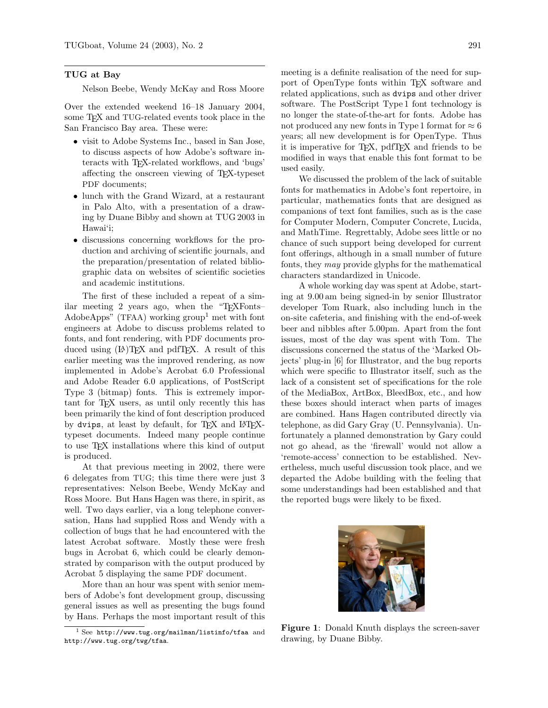## TUG at Bay

Nelson Beebe, Wendy McKay and Ross Moore

Over the extended weekend 16–18 January 2004, some T<sub>F</sub>X and TUG-related events took place in the San Francisco Bay area. These were:

- visit to Adobe Systems Inc., based in San Jose, to discuss aspects of how Adobe's software interacts with TEX-related workflows, and 'bugs' affecting the onscreen viewing of TEX-typeset PDF documents;
- lunch with the Grand Wizard, at a restaurant in Palo Alto, with a presentation of a drawing by Duane Bibby and shown at TUG 2003 in Hawai'i;
- discussions concerning workflows for the production and archiving of scientific journals, and the preparation/presentation of related bibliographic data on websites of scientific societies and academic institutions.

The first of these included a repeat of a similar meeting 2 years ago, when the "TEXFonts– AdobeApps" (TFAA) working group<sup>[1](#page-0-0)</sup> met with font engineers at Adobe to discuss problems related to fonts, and font rendering, with PDF documents produced using  $(L)$ <sup>T</sup>EX and pdfTEX. A result of this earlier meeting was the improved rendering, as now implemented in Adobe's Acrobat 6.0 Professional and Adobe Reader 6.0 applications, of PostScript Type 3 (bitmap) fonts. This is extremely important for TEX users, as until only recently this has been primarily the kind of font description produced by dvips, at least by default, for TFX and LATFXtypeset documents. Indeed many people continue to use TEX installations where this kind of output is produced.

At that previous meeting in 2002, there were 6 delegates from TUG; this time there were just 3 representatives: Nelson Beebe, Wendy McKay and Ross Moore. But Hans Hagen was there, in spirit, as well. Two days earlier, via a long telephone conversation, Hans had supplied Ross and Wendy with a collection of bugs that he had encountered with the latest Acrobat software. Mostly these were fresh bugs in Acrobat 6, which could be clearly demonstrated by comparison with the output produced by Acrobat 5 displaying the same PDF document.

More than an hour was spent with senior members of Adobe's font development group, discussing general issues as well as presenting the bugs found by Hans. Perhaps the most important result of this meeting is a definite realisation of the need for support of OpenType fonts within T<sub>EX</sub> software and related applications, such as dvips and other driver software. The PostScript Type 1 font technology is no longer the state-of-the-art for fonts. Adobe has not produced any new fonts in Type 1 format for  $\approx 6$ years; all new development is for OpenType. Thus it is imperative for TEX, pdfTEX and friends to be modified in ways that enable this font format to be used easily.

We discussed the problem of the lack of suitable fonts for mathematics in Adobe's font repertoire, in particular, mathematics fonts that are designed as companions of text font families, such as is the case for Computer Modern, Computer Concrete, Lucida, and MathTime. Regrettably, Adobe sees little or no chance of such support being developed for current font offerings, although in a small number of future fonts, they may provide glyphs for the mathematical characters standardized in Unicode.

A whole working day was spent at Adobe, starting at 9.00 am being signed-in by senior Illustrator developer Tom Ruark, also including lunch in the on-site cafeteria, and finishing with the end-of-week beer and nibbles after 5.00pm. Apart from the font issues, most of the day was spent with Tom. The discussions concerned the status of the 'Marked Objects' plug-in [\[6\]](#page-2-0) for Illustrator, and the bug reports which were specific to Illustrator itself, such as the lack of a consistent set of specifications for the role of the MediaBox, ArtBox, BleedBox, etc., and how these boxes should interact when parts of images are combined. Hans Hagen contributed directly via telephone, as did Gary Gray (U. Pennsylvania). Unfortunately a planned demonstration by Gary could not go ahead, as the 'firewall' would not allow a 'remote-access' connection to be established. Nevertheless, much useful discussion took place, and we departed the Adobe building with the feeling that some understandings had been established and that the reported bugs were likely to be fixed.

<span id="page-0-1"></span>

Figure 1: Donald Knuth displays the screen-saver drawing, by Duane Bibby.

<span id="page-0-0"></span> $1$  See <http://www.tug.org/mailman/listinfo/tfaa> and <http://www.tug.org/twg/tfaa>.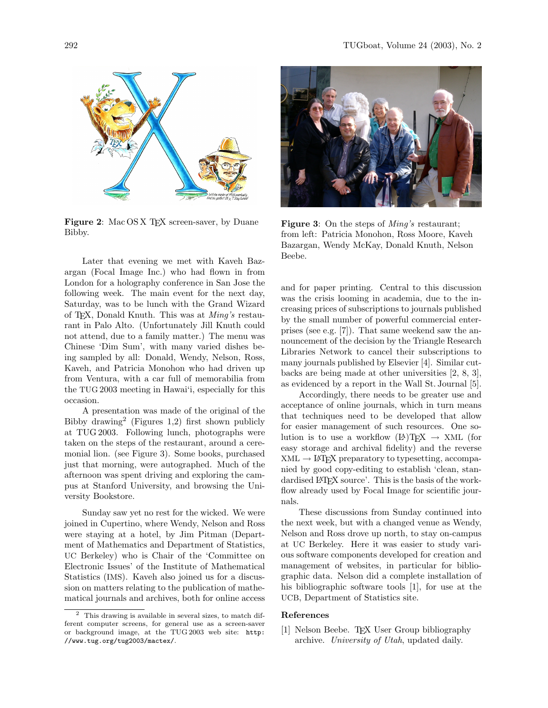

<span id="page-1-1"></span>Figure 2: Mac OS X T<sub>E</sub>X screen-saver, by Duane Bibby.

Later that evening we met with Kaveh Bazargan (Focal Image Inc.) who had flown in from London for a holography conference in San Jose the following week. The main event for the next day, Saturday, was to be lunch with the Grand Wizard of TEX, Donald Knuth. This was at Ming's restaurant in Palo Alto. (Unfortunately Jill Knuth could not attend, due to a family matter.) The menu was Chinese 'Dim Sum', with many varied dishes being sampled by all: Donald, Wendy, Nelson, Ross, Kaveh, and Patricia Monohon who had driven up from Ventura, with a car full of memorabilia from the TUG 2003 meeting in Hawai'i, especially for this occasion.

A presentation was made of the original of the Bibby drawing[2](#page-1-0) (Figures [1,](#page-0-1)[2\)](#page-1-1) first shown publicly at TUG 2003. Following lunch, photographs were taken on the steps of the restaurant, around a ceremonial lion. (see Figure [3\)](#page-1-2). Some books, purchased just that morning, were autographed. Much of the afternoon was spent driving and exploring the campus at Stanford University, and browsing the University Bookstore.

Sunday saw yet no rest for the wicked. We were joined in Cupertino, where Wendy, Nelson and Ross were staying at a hotel, by Jim Pitman (Department of Mathematics and Department of Statistics, UC Berkeley) who is Chair of the 'Committee on Electronic Issues' of the Institute of Mathematical Statistics (IMS). Kaveh also joined us for a discussion on matters relating to the publication of mathematical journals and archives, both for online access



**Figure 3:** On the steps of *Ming's* restaurant; from left: Patricia Monohon, Ross Moore, Kaveh Bazargan, Wendy McKay, Donald Knuth, Nelson Beebe.

<span id="page-1-2"></span>and for paper printing. Central to this discussion was the crisis looming in academia, due to the increasing prices of subscriptions to journals published by the small number of powerful commercial enterprises (see e.g. [\[7\]](#page-2-1)). That same weekend saw the announcement of the decision by the Triangle Research Libraries Network to cancel their subscriptions to many journals published by Elsevier [\[4\]](#page-2-2). Similar cutbacks are being made at other universities [\[2,](#page-2-3) [8,](#page-2-4) [3\]](#page-2-5), as evidenced by a report in the Wall St. Journal [\[5\]](#page-2-6).

Accordingly, there needs to be greater use and acceptance of online journals, which in turn means that techniques need to be developed that allow for easier management of such resources. One solution is to use a workflow  $(LA)TEX \rightarrow XML$  (for easy storage and archival fidelity) and the reverse  $XML \rightarrow \cancel{B}$ FX preparatory to typesetting, accompanied by good copy-editing to establish 'clean, standardised LAT<sub>F</sub>X source'. This is the basis of the workflow already used by Focal Image for scientific journals.

These discussions from Sunday continued into the next week, but with a changed venue as Wendy, Nelson and Ross drove up north, to stay on-campus at UC Berkeley. Here it was easier to study various software components developed for creation and management of websites, in particular for bibliographic data. Nelson did a complete installation of his bibliographic software tools [\[1\]](#page-1-3), for use at the UCB, Department of Statistics site.

## <span id="page-1-3"></span>References

[1] Nelson Beebe. TFX User Group bibliography archive. University of Utah, updated daily.

<span id="page-1-0"></span><sup>2</sup> This drawing is available in several sizes, to match different computer screens, for general use as a screen-saver or background image, at the TUG 2003 web site: [http:](http://www.tug.org/tug2003/mactex/) [//www.tug.org/tug2003/mactex/](http://www.tug.org/tug2003/mactex/).